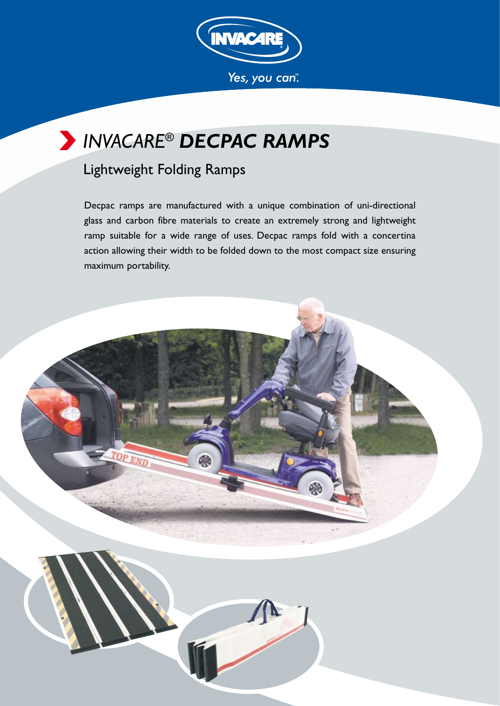

# *INVACARE® DECPAC RAMPS*

### Lightweight Folding Ramps

Decpac ramps are manufactured with a unique combination of uni-directional glass and carbon fibre materials to create an extremely strong and lightweight ramp suitable for a wide range of uses. Decpac ramps fold with a concertina action allowing their width to be folded down to the most compact size ensuring maximum portability.

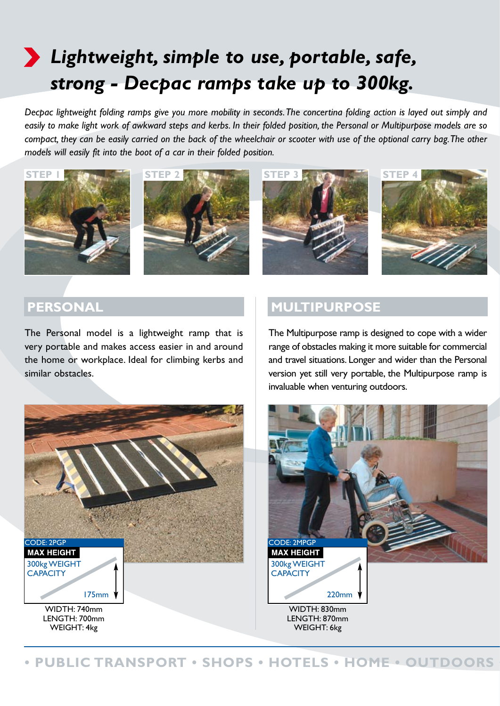# *Lightweight, simple to use, portable, safe, strong - Decpac ramps take up to 300kg.*

*Decpac lightweight folding ramps give you more mobility in seconds. The concertina folding action is layed out simply and easily to make light work of awkward steps and kerbs. In their folded position, the Personal or Multipurpose models are so compact, they can be easily carried on the back of the wheelchair or scooter with use of the optional carry bag. The other models will easily fit into the boot of a car in their folded position.* 







#### **PERSONAL**

The Personal model is a lightweight ramp that is very portable and makes access easier in and around the home or workplace. Ideal for climbing kerbs and similar obstacles.

#### **MULTIPURPOSE**

The Multipurpose ramp is designed to cope with a wider range of obstacles making it more suitable for commercial and travel situations. Longer and wider than the Personal version yet still very portable, the Multipurpose ramp is invaluable when venturing outdoors.





**PUBLIC TRANSPORT • SHOPS • HOTELS • HOME • OUTDOORS**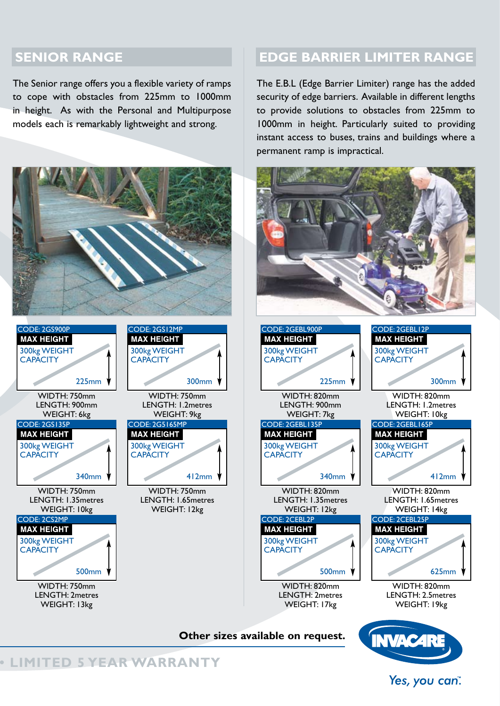#### **SENIOR RANGE**

The Senior range offers you a flexible variety of ramps to cope with obstacles from 225mm to 1000mm in height. As with the Personal and Multipurpose models each is remarkably lightweight and strong.



#### **edge barrier limiter RANGE**

The E.B.L (Edge Barrier Limiter) range has the added security of edge barriers. Available in different lengths to provide solutions to obstacles from 225mm to 1000mm in height. Particularly suited to providing instant access to buses, trains and buildings where a permanent ramp is impractical.

**• LIMITED 5 YEAR WARRANTY** 

Yes, you can".